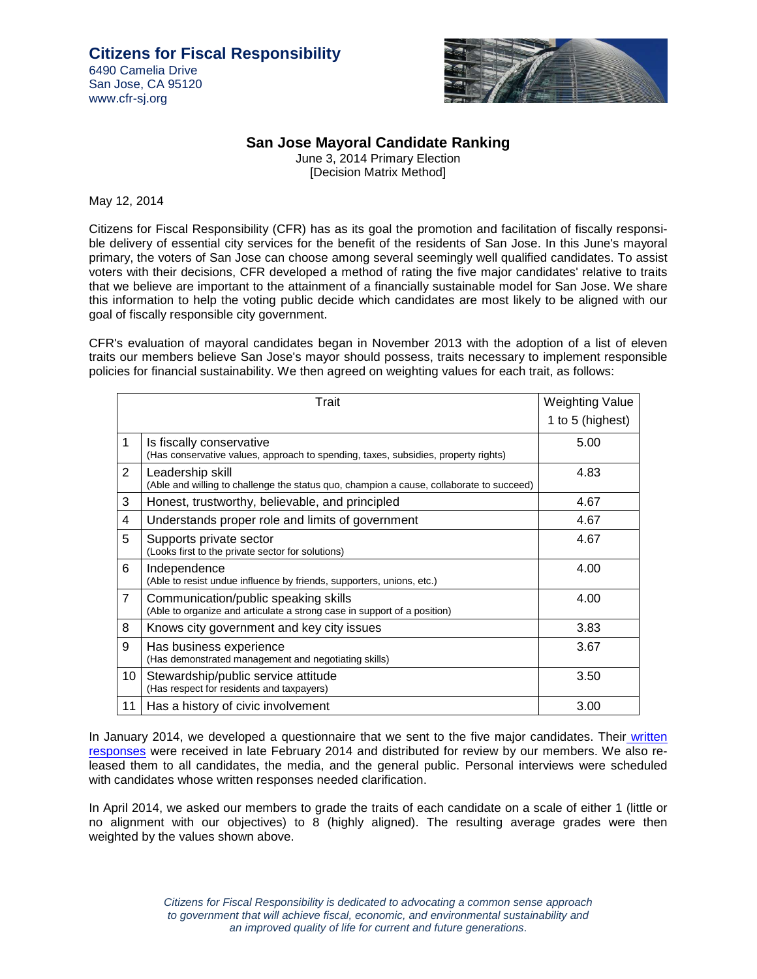

## **San Jose Mayoral Candidate Ranking**

June 3, 2014 Primary Election [Decision Matrix Method]

May 12, 2014

Citizens for Fiscal Responsibility (CFR) has as its goal the promotion and facilitation of fiscally responsible delivery of essential city services for the benefit of the residents of San Jose. In this June's mayoral primary, the voters of San Jose can choose among several seemingly well qualified candidates. To assist voters with their decisions, CFR developed a method of rating the five major candidates' relative to traits that we believe are important to the attainment of a financially sustainable model for San Jose. We share this information to help the voting public decide which candidates are most likely to be aligned with our goal of fiscally responsible city government.

CFR's evaluation of mayoral candidates began in November 2013 with the adoption of a list of eleven traits our members believe San Jose's mayor should possess, traits necessary to implement responsible policies for financial sustainability. We then agreed on weighting values for each trait, as follows:

|                | <b>Weighting Value</b>                                                                                           |                  |
|----------------|------------------------------------------------------------------------------------------------------------------|------------------|
|                |                                                                                                                  | 1 to 5 (highest) |
| 1              | Is fiscally conservative<br>(Has conservative values, approach to spending, taxes, subsidies, property rights)   | 5.00             |
| $\overline{2}$ | Leadership skill<br>(Able and willing to challenge the status quo, champion a cause, collaborate to succeed)     | 4.83             |
| 3              | Honest, trustworthy, believable, and principled                                                                  | 4.67             |
| 4              | Understands proper role and limits of government                                                                 | 4.67             |
| 5              | Supports private sector<br>(Looks first to the private sector for solutions)                                     | 4.67             |
| 6              | Independence<br>(Able to resist undue influence by friends, supporters, unions, etc.)                            | 4.00             |
| $\overline{7}$ | Communication/public speaking skills<br>(Able to organize and articulate a strong case in support of a position) | 4.00             |
| 8              | Knows city government and key city issues                                                                        | 3.83             |
| 9              | Has business experience<br>(Has demonstrated management and negotiating skills)                                  | 3.67             |
| 10             | Stewardship/public service attitude<br>(Has respect for residents and taxpayers)                                 | 3.50             |
| 11             | Has a history of civic involvement                                                                               | 3.00             |

In January 2014, we developed a questionnaire that we sent to the five major candidates. Their written responses were received in late February 2014 and distributed for review by our members. We also released them to all candidates, the media, and the general public. Personal interviews were scheduled with candidates whose written responses needed clarification.

In April 2014, we asked our members to grade the traits of each candidate on a scale of either 1 (little or no alignment with our objectives) to 8 (highly aligned). The resulting average grades were then weighted by the values shown above.